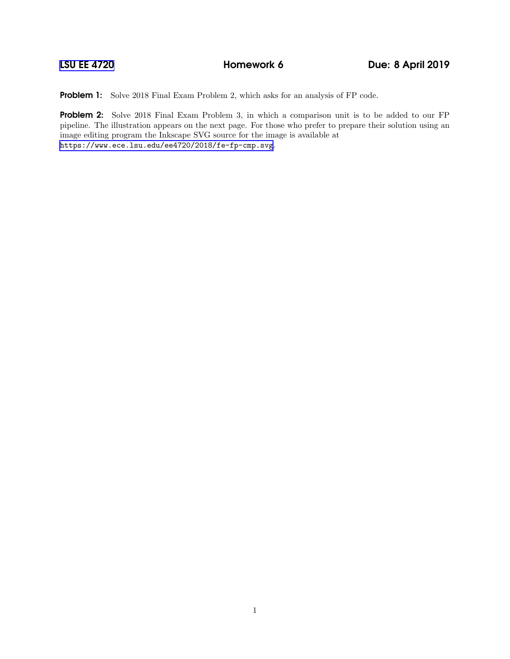Problem 1: Solve 2018 Final Exam Problem 2, which asks for an analysis of FP code.

Problem 2: Solve 2018 Final Exam Problem 3, in which a comparison unit is to be added to our FP pipeline. The illustration appears on the next page. For those who prefer to prepare their solution using an image editing program the Inkscape SVG source for the image is available at <https://www.ece.lsu.edu/ee4720/2018/fe-fp-cmp.svg>.